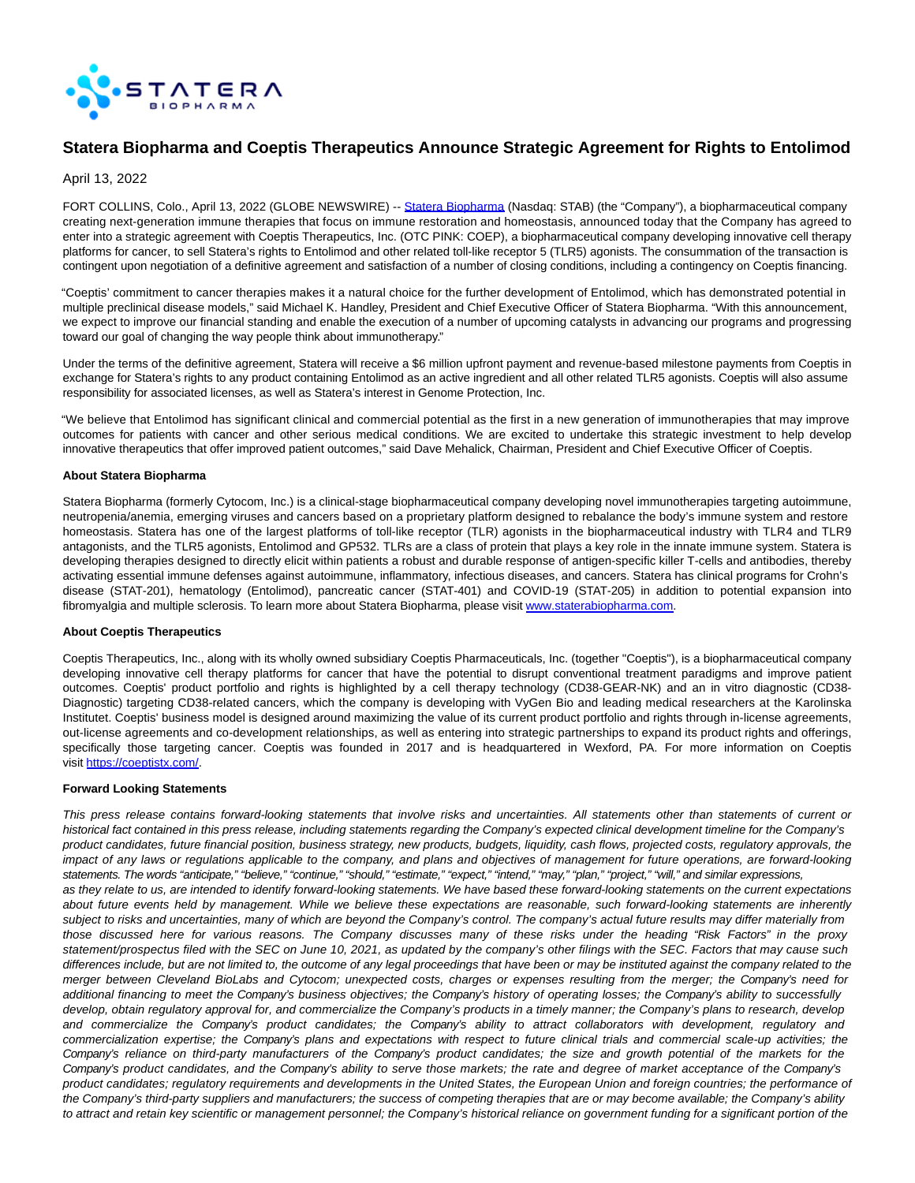

# **Statera Biopharma and Coeptis Therapeutics Announce Strategic Agreement for Rights to Entolimod**

## April 13, 2022

FORT COLLINS, Colo., April 13, 2022 (GLOBE NEWSWIRE) -- [Statera Biopharma \(](https://www.globenewswire.com/Tracker?data=hHk8Dmbnj-GJXZlP0BxTAMyNLsO2ntg6a7ItvK5jcs5lstNSsp6-E_j6lpc7saVaPIM5Jw_lK3cUU8-WLpecLvDTChtu5lwLAerJAt2LwMlrL1NPoCGm226eyF-OKvsafNFfMBE8kaDNVv4rzaB9DVBM_FnQxLqoIEh71emBYHXkJnWqW_yYEGuD674kG7WPCKAUrzniDK3lP1DyJW5Mfk4QTST47dkRGv7wsDlg8dv91yM8XVrgzj7uv-j3jAcfF7k66iOyygqXZecu3leu2t13AimCj4jLFE0Nz9t13WKKA2NNfYfbT2_344eWWXa_)Nasdaq: STAB) (the "Company"), a biopharmaceutical company creating next-generation immune therapies that focus on immune restoration and homeostasis, announced today that the Company has agreed to enter into a strategic agreement with Coeptis Therapeutics, Inc. (OTC PINK: COEP), a biopharmaceutical company developing innovative cell therapy platforms for cancer, to sell Statera's rights to Entolimod and other related toll-like receptor 5 (TLR5) agonists. The consummation of the transaction is contingent upon negotiation of a definitive agreement and satisfaction of a number of closing conditions, including a contingency on Coeptis financing.

"Coeptis' commitment to cancer therapies makes it a natural choice for the further development of Entolimod, which has demonstrated potential in multiple preclinical disease models," said Michael K. Handley, President and Chief Executive Officer of Statera Biopharma. "With this announcement, we expect to improve our financial standing and enable the execution of a number of upcoming catalysts in advancing our programs and progressing toward our goal of changing the way people think about immunotherapy."

Under the terms of the definitive agreement, Statera will receive a \$6 million upfront payment and revenue-based milestone payments from Coeptis in exchange for Statera's rights to any product containing Entolimod as an active ingredient and all other related TLR5 agonists. Coeptis will also assume responsibility for associated licenses, as well as Statera's interest in Genome Protection, Inc.

"We believe that Entolimod has significant clinical and commercial potential as the first in a new generation of immunotherapies that may improve outcomes for patients with cancer and other serious medical conditions. We are excited to undertake this strategic investment to help develop innovative therapeutics that offer improved patient outcomes," said Dave Mehalick, Chairman, President and Chief Executive Officer of Coeptis.

### **About Statera Biopharma**

Statera Biopharma (formerly Cytocom, Inc.) is a clinical-stage biopharmaceutical company developing novel immunotherapies targeting autoimmune, neutropenia/anemia, emerging viruses and cancers based on a proprietary platform designed to rebalance the body's immune system and restore homeostasis. Statera has one of the largest platforms of toll-like receptor (TLR) agonists in the biopharmaceutical industry with TLR4 and TLR9 antagonists, and the TLR5 agonists, Entolimod and GP532. TLRs are a class of protein that plays a key role in the innate immune system. Statera is developing therapies designed to directly elicit within patients a robust and durable response of antigen-specific killer T-cells and antibodies, thereby activating essential immune defenses against autoimmune, inflammatory, infectious diseases, and cancers. Statera has clinical programs for Crohn's disease (STAT-201), hematology (Entolimod), pancreatic cancer (STAT-401) and COVID-19 (STAT-205) in addition to potential expansion into fibromyalgia and multiple sclerosis. To learn more about Statera Biopharma, please visit [www.staterabiopharma.com.](https://www.globenewswire.com/Tracker?data=UGwQVumwVqxAND_u8zeF15RlADCkwcWeX9fXBQdaWMcpk6jNTSrk05681DlscEhYgeZuxAsaA7jRq6ZFldU91jzlS8PQL_bHO5YE2fyi3eACqEUMPTCwyppNcIC41l5fp33MZ_ag-P3RnJHNjHze2lVFFXOBCp26TRxjSjvqBy-NpKJo_OmillfCmkEvByEh9YXCjeLiypRBPm-7qne2MHPYxVA4ggKdZFa6PF_eMOFlfu4FL8-dBH7pcS7mrOWb)

### **About Coeptis Therapeutics**

Coeptis Therapeutics, Inc., along with its wholly owned subsidiary Coeptis Pharmaceuticals, Inc. (together "Coeptis"), is a biopharmaceutical company developing innovative cell therapy platforms for cancer that have the potential to disrupt conventional treatment paradigms and improve patient outcomes. Coeptis' product portfolio and rights is highlighted by a cell therapy technology (CD38-GEAR-NK) and an in vitro diagnostic (CD38- Diagnostic) targeting CD38-related cancers, which the company is developing with VyGen Bio and leading medical researchers at the Karolinska Institutet. Coeptis' business model is designed around maximizing the value of its current product portfolio and rights through in-license agreements, out-license agreements and co-development relationships, as well as entering into strategic partnerships to expand its product rights and offerings, specifically those targeting cancer. Coeptis was founded in 2017 and is headquartered in Wexford, PA. For more information on Coeptis visit [https://coeptistx.com/.](https://www.globenewswire.com/Tracker?data=KvdllQyv-gfPqiFLjefaQU2TCrNAwIlqYquRJgQ2vVaDb3cKEdoBrChHtYwvFlEc_3a0veIWv7HyuIPfP_wGK2ewmtOWc6jafj131dXNO9gqjadWw2e2tlffiqmAv88OXESFfTo3SK3OP4sF5wofmz9r3DTGkIC1-n2fwyouVS_3pVyoPe-x4OFYuHjyNJjwYovyCiDlICY-h_sUWO9CPAJqDCmII5NQUu9l1OVKdpo=)

## **Forward Looking Statements**

This press release contains forward-looking statements that involve risks and uncertainties. All statements other than statements of current or historical fact contained in this press release, including statements regarding the Company's expected clinical development timeline for the Company's product candidates, future financial position, business strategy, new products, budgets, liquidity, cash flows, projected costs, regulatory approvals, the impact of any laws or regulations applicable to the company, and plans and objectives of management for future operations, are forward-looking statements. The words "anticipate," "believe," "continue," "should," "estimate," "expect," "intend," "may," "plan," "project," "will," and similar expressions, as they relate to us, are intended to identify forward-looking statements. We have based these forward-looking statements on the current expectations about future events held by management. While we believe these expectations are reasonable, such forward-looking statements are inherently subject to risks and uncertainties, many of which are beyond the Company's control. The company's actual future results may differ materially from those discussed here for various reasons. The Company discusses many of these risks under the heading "Risk Factors" in the proxy statement/prospectus filed with the SEC on June 10, 2021, as updated by the company's other filings with the SEC. Factors that may cause such differences include, but are not limited to, the outcome of any legal proceedings that have been or may be instituted against the company related to the merger between Cleveland BioLabs and Cytocom; unexpected costs, charges or expenses resulting from the merger; the Company's need for additional financing to meet the Company's business objectives; the Company's history of operating losses; the Company's ability to successfully develop, obtain regulatory approval for, and commercialize the Company's products in a timely manner; the Company's plans to research, develop and commercialize the Company's product candidates; the Company's ability to attract collaborators with development, regulatory and commercialization expertise; the Company's plans and expectations with respect to future clinical trials and commercial scale-up activities; the Company's reliance on third-party manufacturers of the Company's product candidates; the size and growth potential of the markets for the Company's product candidates, and the Company's ability to serve those markets; the rate and degree of market acceptance of the Company's product candidates; regulatory requirements and developments in the United States, the European Union and foreign countries; the performance of the Company's third-party suppliers and manufacturers; the success of competing therapies that are or may become available; the Company's ability to attract and retain key scientific or management personnel; the Company's historical reliance on government funding for a significant portion of the